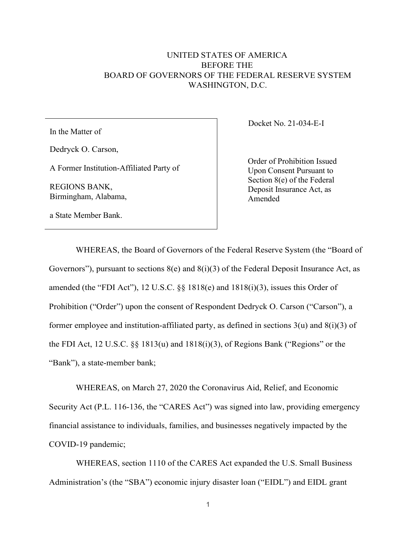## UNITED STATES OF AMERICA BEFORE THE BOARD OF GOVERNORS OF THE FEDERAL RESERVE SYSTEM WASHINGTON, D.C.

In the Matter of

Dedryck O. Carson,

A Former Institution-Affiliated Party of

REGIONS BANK, Birmingham, Alabama, Docket No. 21-034-E-I

Order of Prohibition Issued Upon Consent Pursuant to Section 8(e) of the Federal Deposit Insurance Act, as Amended

a State Member Bank.

WHEREAS, the Board of Governors of the Federal Reserve System (the "Board of Governors"), pursuant to sections  $8(e)$  and  $8(i)(3)$  of the Federal Deposit Insurance Act, as amended (the "FDI Act"), 12 U.S.C. §§ 1818(e) and 1818(i)(3), issues this Order of Prohibition ("Order") upon the consent of Respondent Dedryck O. Carson ("Carson"), a former employee and institution-affiliated party, as defined in sections  $3(u)$  and  $8(i)(3)$  of the FDI Act, 12 U.S.C. §§ 1813(u) and 1818(i)(3), of Regions Bank ("Regions" or the "Bank"), a state-member bank;

WHEREAS, on March 27, 2020 the Coronavirus Aid, Relief, and Economic Security Act (P.L. 116-136, the "CARES Act") was signed into law, providing emergency financial assistance to individuals, families, and businesses negatively impacted by the COVID-19 pandemic;

WHEREAS, section 1110 of the CARES Act expanded the U.S. Small Business Administration's (the "SBA") economic injury disaster loan ("EIDL") and EIDL grant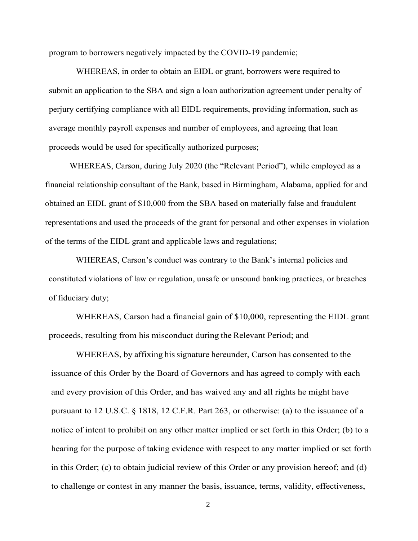program to borrowers negatively impacted by the COVID-19 pandemic;

WHEREAS, in order to obtain an EIDL or grant, borrowers were required to submit an application to the SBA and sign a loan authorization agreement under penalty of perjury certifying compliance with all EIDL requirements, providing information, such as average monthly payroll expenses and number of employees, and agreeing that loan proceeds would be used for specifically authorized purposes;

WHEREAS, Carson, during July 2020 (the "Relevant Period"), while employed as a financial relationship consultant of the Bank, based in Birmingham, Alabama, applied for and obtained an EIDL grant of \$10,000 from the SBA based on materially false and fraudulent representations and used the proceeds of the grant for personal and other expenses in violation of the terms of the EIDL grant and applicable laws and regulations;

WHEREAS, Carson's conduct was contrary to the Bank's internal policies and constituted violations of law or regulation, unsafe or unsound banking practices, or breaches of fiduciary duty;

WHEREAS, Carson had a financial gain of \$10,000, representing the EIDL grant proceeds, resulting from his misconduct during the Relevant Period; and

WHEREAS, by affixing his signature hereunder, Carson has consented to the issuance of this Order by the Board of Governors and has agreed to comply with each and every provision of this Order, and has waived any and all rights he might have pursuant to 12 U.S.C. § 1818, 12 C.F.R. Part 263, or otherwise: (a) to the issuance of a notice of intent to prohibit on any other matter implied or set forth in this Order; (b) to a hearing for the purpose of taking evidence with respect to any matter implied or set forth in this Order; (c) to obtain judicial review of this Order or any provision hereof; and (d) to challenge or contest in any manner the basis, issuance, terms, validity, effectiveness,

2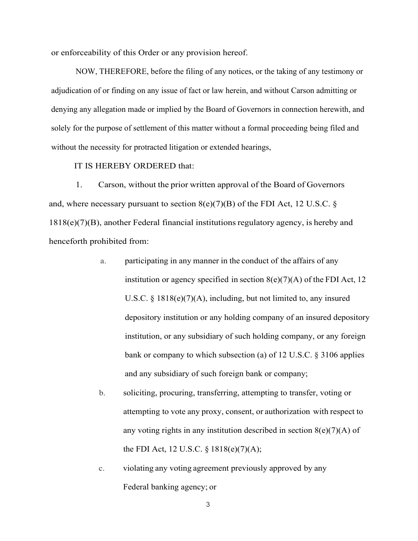or enforceability of this Order or any provision hereof.

NOW, THEREFORE, before the filing of any notices, or the taking of any testimony or adjudication of or finding on any issue of fact or law herein, and without Carson admitting or denying any allegation made or implied by the Board of Governors in connection herewith, and solely for the purpose of settlement of this matter without a formal proceeding being filed and without the necessity for protracted litigation or extended hearings,

## IT IS HEREBY ORDERED that:

1. Carson, without the prior written approval of the Board of Governors and, where necessary pursuant to section  $8(e)(7)(B)$  of the FDI Act, 12 U.S.C. § 1818(e)(7)(B), another Federal financial institutions regulatory agency, is hereby and henceforth prohibited from:

- a. participating in any manner in the conduct of the affairs of any institution or agency specified in section  $8(e)(7)(A)$  of the FDI Act, 12 U.S.C. § 1818(e)(7)(A), including, but not limited to, any insured depository institution or any holding company of an insured depository institution, or any subsidiary of such holding company, or any foreign bank or company to which subsection (a) of 12 U.S.C. § 3106 applies and any subsidiary of such foreign bank or company;
- b. soliciting, procuring, transferring, attempting to transfer, voting or attempting to vote any proxy, consent, or authorization with respect to any voting rights in any institution described in section  $8(e)(7)(A)$  of the FDI Act, 12 U.S.C. § 1818(e)(7)(A);
- c. violating any voting agreement previously approved by any Federal banking agency; or

3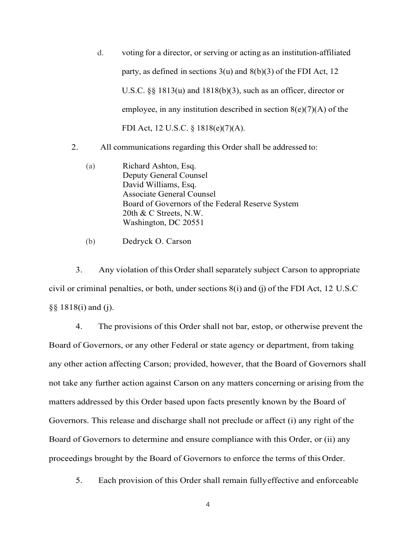- d. voting for a director, or serving or acting as an institution-affiliated party, as defined in sections  $3(u)$  and  $8(b)(3)$  of the FDI Act, 12 U.S.C. §§ 1813(u) and 1818(b)(3), such as an officer, director or employee, in any institution described in section  $8(e)(7)(A)$  of the FDI Act, 12 U.S.C. § 1818(e)(7)(A).
- 2. All communications regarding this Order shall be addressed to:
	- (a) Richard Ashton, Esq. Deputy General Counsel David Williams, Esq. Associate General Counsel Board of Governors of the Federal Reserve System 20th & C Streets, N.W. Washington, DC 20551
	- (b) Dedryck O. Carson

3. Any violation of this Ordershall separately subject Carson to appropriate civil or criminal penalties, or both, under sections  $8(i)$  and (j) of the FDI Act, 12 U.S.C §§ 1818(i) and (j).

4. The provisions of this Order shall not bar, estop, or otherwise prevent the Board of Governors, or any other Federal or state agency or department, from taking any other action affecting Carson; provided, however, that the Board of Governors shall not take any further action against Carson on any matters concerning or arising from the matters addressed by this Order based upon facts presently known by the Board of Governors. This release and discharge shall not preclude or affect (i) any right of the Board of Governors to determine and ensure compliance with this Order, or (ii) any proceedings brought by the Board of Governors to enforce the terms of this Order.

5. Each provision of this Order shall remain fullyeffective and enforceable

4